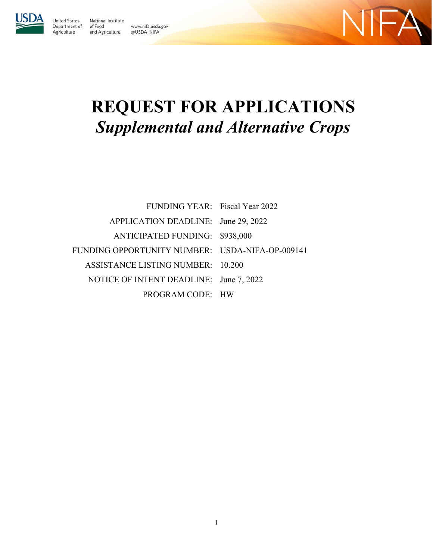

United States

Agriculture

National Institute Department of of Food www.nifa.usda.gov and Agriculture @USDA\_NIFA



# **REQUEST FOR APPLICATIONS**  *Supplemental and Alternative Crops*

| FUNDING YEAR: Fiscal Year 2022                  |  |
|-------------------------------------------------|--|
| APPLICATION DEADLINE: June 29, 2022             |  |
| ANTICIPATED FUNDING: \$938,000                  |  |
| FUNDING OPPORTUNITY NUMBER: USDA-NIFA-OP-009141 |  |
| <b>ASSISTANCE LISTING NUMBER: 10.200</b>        |  |
| NOTICE OF INTENT DEADLINE: June 7, 2022         |  |
| PROGRAM CODE: HW                                |  |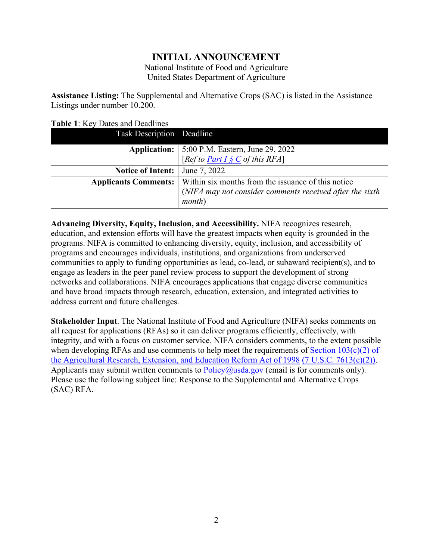# **INITIAL ANNOUNCEMENT**

National Institute of Food and Agriculture United States Department of Agriculture

**Assistance Listing:** The Supplemental and Alternative Crops (SAC) is listed in the Assistance Listings under number 10.200.

| Task Description Deadline   |                                                          |
|-----------------------------|----------------------------------------------------------|
| Application:                | 5:00 P.M. Eastern, June 29, 2022                         |
|                             | [Ref to <u>Part I <math>\S C</math></u> of this RFA]     |
| <b>Notice of Intent:</b>    | June 7, 2022                                             |
| <b>Applicants Comments:</b> | Within six months from the issuance of this notice       |
|                             | (NIFA may not consider comments received after the sixth |
|                             | <i>month</i> )                                           |

<span id="page-1-0"></span>**Table 1**: Key Dates and Deadlines

**Advancing Diversity, Equity, Inclusion, and Accessibility.** NIFA recognizes research, education, and extension efforts will have the greatest impacts when equity is grounded in the programs. NIFA is committed to enhancing diversity, equity, inclusion, and accessibility of programs and encourages individuals, institutions, and organizations from underserved communities to apply to funding opportunities as lead, co-lead, or subaward recipient(s), and to engage as leaders in the peer panel review process to support the development of strong networks and collaborations. NIFA encourages applications that engage diverse communities and have broad impacts through research, education, extension, and integrated activities to address current and future challenges.

**Stakeholder Input**. The National Institute of Food and Agriculture (NIFA) seeks comments on all request for applications (RFAs) so it can deliver programs efficiently, effectively, with integrity, and with a focus on customer service. NIFA considers comments, to the extent possible when developing RFAs and use comments to help meet the requirements of Section  $103(c)(2)$  of [the Agricultural Research, Extension, and Education Reform Act of 1998](https://nifa.usda.gov/resource/agricultural-research-extension-and-education-reform-act-1998) [\(7 U.S.C. 7613\(c\)\(2\)\).](https://uscode.house.gov/view.xhtml?req=(title:7%20section:7613%20edition:prelim)%20OR%20(granuleid:USC-prelim-title7-section7613)&f=treesort&edition=prelim&num=0&jumpTo=true) Applicants may submit written comments to  $Policy@usda.gov$  (email is for comments only). Please use the following subject line: Response to the Supplemental and Alternative Crops (SAC) RFA.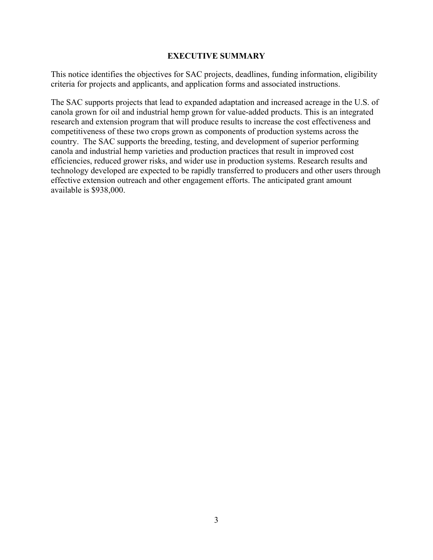#### **EXECUTIVE SUMMARY**

<span id="page-2-0"></span>This notice identifies the objectives for SAC projects, deadlines, funding information, eligibility criteria for projects and applicants, and application forms and associated instructions.

The SAC supports projects that lead to expanded adaptation and increased acreage in the U.S. of canola grown for oil and industrial hemp grown for value-added products. This is an integrated research and extension program that will produce results to increase the cost effectiveness and competitiveness of these two crops grown as components of production systems across the country. The SAC supports the breeding, testing, and development of superior performing canola and industrial hemp varieties and production practices that result in improved cost efficiencies, reduced grower risks, and wider use in production systems. Research results and technology developed are expected to be rapidly transferred to producers and other users through effective extension outreach and other engagement efforts. The anticipated grant amount available is \$938,000.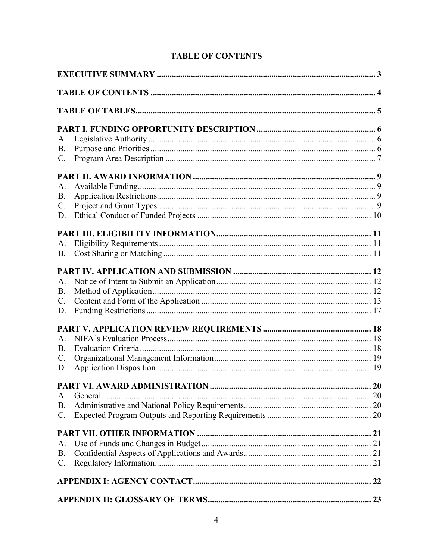<span id="page-3-0"></span>

| A.             |         |  |
|----------------|---------|--|
| <b>B.</b>      |         |  |
| C.             |         |  |
|                |         |  |
| A.             |         |  |
| B.             |         |  |
| $C$ .          |         |  |
| D.             |         |  |
|                |         |  |
| A.             |         |  |
| <b>B.</b>      |         |  |
|                |         |  |
| A.             |         |  |
| <b>B.</b>      |         |  |
| C.             |         |  |
| D.             |         |  |
|                |         |  |
| A.             |         |  |
| B.             |         |  |
| $\mathbf{C}$ . |         |  |
| D.             |         |  |
|                |         |  |
| A.             | General |  |
| <b>B.</b>      |         |  |
| $\mathbf{C}$ . |         |  |
|                |         |  |
| A.             |         |  |
| <b>B.</b>      |         |  |
| C.             |         |  |
|                |         |  |
|                |         |  |
|                |         |  |

# **TABLE OF CONTENTS**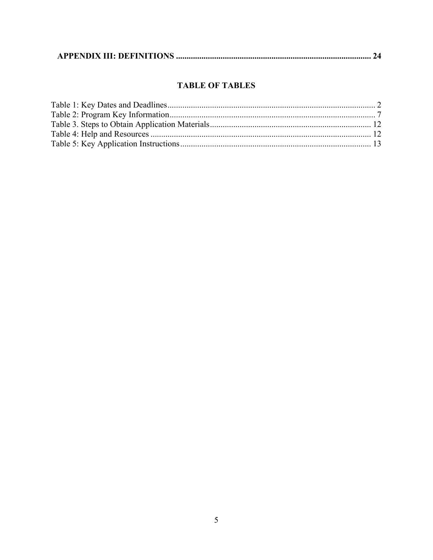|--|--|--|

# **TABLE OF TABLES**

<span id="page-4-0"></span>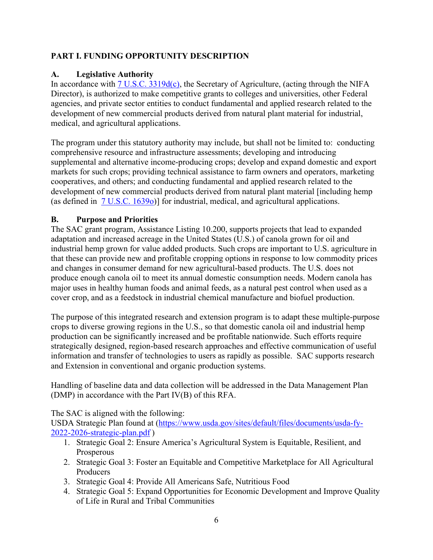# <span id="page-5-0"></span>**PART I. FUNDING OPPORTUNITY DESCRIPTION**

## <span id="page-5-1"></span>**A. Legislative Authority**

In accordance with  $\frac{7 \text{ U.S.C. 3319d(c)}}{2}$ , the Secretary of Agriculture, (acting through the NIFA Director), is authorized to make competitive grants to colleges and universities, other Federal agencies, and private sector entities to conduct fundamental and applied research related to the development of new commercial products derived from natural plant material for industrial, medical, and agricultural applications.

The program under this statutory authority may include, but shall not be limited to: conducting comprehensive resource and infrastructure assessments; developing and introducing supplemental and alternative income-producing crops; develop and expand domestic and export markets for such crops; providing technical assistance to farm owners and operators, marketing cooperatives, and others; and conducting fundamental and applied research related to the development of new commercial products derived from natural plant material [including hemp (as defined in [7 U.S.C. 1639o\)](https://uscode.house.gov/view.xhtml?path=/prelim@title7/chapter38/subchapter7&edition=prelim)] for industrial, medical, and agricultural applications.

# <span id="page-5-2"></span>**B. Purpose and Priorities**

The SAC grant program, Assistance Listing 10.200, supports projects that lead to expanded adaptation and increased acreage in the United States (U.S.) of canola grown for oil and industrial hemp grown for value added products. Such crops are important to U.S. agriculture in that these can provide new and profitable cropping options in response to low commodity prices and changes in consumer demand for new agricultural-based products. The U.S. does not produce enough canola oil to meet its annual domestic consumption needs. Modern canola has major uses in healthy human foods and animal feeds, as a natural pest control when used as a cover crop, and as a feedstock in industrial chemical manufacture and biofuel production.

The purpose of this integrated research and extension program is to adapt these multiple-purpose crops to diverse growing regions in the U.S., so that domestic canola oil and industrial hemp production can be significantly increased and be profitable nationwide. Such efforts require strategically designed, region-based research approaches and effective communication of useful information and transfer of technologies to users as rapidly as possible. SAC supports research and Extension in conventional and organic production systems.

Handling of baseline data and data collection will be addressed in the Data Management Plan (DMP) in accordance with the Part IV(B) of this RFA.

The SAC is aligned with the following:

USDA Strategic Plan found at [\(https://www.usda.gov/sites/default/files/documents/usda-fy-](https://www.usda.gov/sites/default/files/documents/usda-fy-2022-2026-strategic-plan.pdf)[2022-2026-strategic-plan.pdf](https://www.usda.gov/sites/default/files/documents/usda-fy-2022-2026-strategic-plan.pdf) )

- 1. Strategic Goal 2: Ensure America's Agricultural System is Equitable, Resilient, and Prosperous
- 2. Strategic Goal 3: Foster an Equitable and Competitive Marketplace for All Agricultural Producers
- 3. Strategic Goal 4: Provide All Americans Safe, Nutritious Food
- 4. Strategic Goal 5: Expand Opportunities for Economic Development and Improve Quality of Life in Rural and Tribal Communities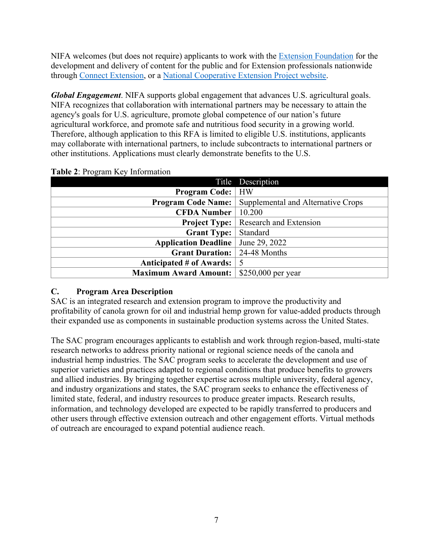NIFA welcomes (but does not require) applicants to work with the [Extension Foundation](https://gcc02.safelinks.protection.outlook.com/?url=http%3A%2F%2Fextension.org%2F&data=04%7C01%7C%7Ca20ab3b70b594250729308d9b8d16d39%7Ced5b36e701ee4ebc867ee03cfa0d4697%7C0%7C0%7C637744031880128218%7CUnknown%7CTWFpbGZsb3d8eyJWIjoiMC4wLjAwMDAiLCJQIjoiV2luMzIiLCJBTiI6Ik1haWwiLCJXVCI6Mn0%3D%7C3000&sdata=O1FPITwYnPL9bUoa6KlWT3HGCAodXoe4WabAWYMPwUs%3D&reserved=0) for the development and delivery of content for the public and for Extension professionals nationwide through [Connect Extension,](https://gcc02.safelinks.protection.outlook.com/?url=http%3A%2F%2Fconnect.extension.org%2F&data=04%7C01%7C%7Ca20ab3b70b594250729308d9b8d16d39%7Ced5b36e701ee4ebc867ee03cfa0d4697%7C0%7C0%7C637744031880128218%7CUnknown%7CTWFpbGZsb3d8eyJWIjoiMC4wLjAwMDAiLCJQIjoiV2luMzIiLCJBTiI6Ik1haWwiLCJXVCI6Mn0%3D%7C3000&sdata=BvJWf0GqWsEOZBxeTIFyE0pVGEuxR95tkXzOccIQKeA%3D&reserved=0) or a [National Cooperative Extension Project website.](https://gcc02.safelinks.protection.outlook.com/?url=https%3A%2F%2Fextension.org%2Fnational-cooperative-extension-projects%2F&data=04%7C01%7C%7Ca20ab3b70b594250729308d9b8d16d39%7Ced5b36e701ee4ebc867ee03cfa0d4697%7C0%7C0%7C637744031880128218%7CUnknown%7CTWFpbGZsb3d8eyJWIjoiMC4wLjAwMDAiLCJQIjoiV2luMzIiLCJBTiI6Ik1haWwiLCJXVCI6Mn0%3D%7C3000&sdata=%2BNLyg2ocosC8NESorX3VwJSeDDNnw9IturIgC2JMlNk%3D&reserved=0)

*Global Engagement*. NIFA supports global engagement that advances U.S. agricultural goals. NIFA recognizes that collaboration with international partners may be necessary to attain the agency's goals for U.S. agriculture, promote global competence of our nation's future agricultural workforce, and promote safe and nutritious food security in a growing world. Therefore, although application to this RFA is limited to eligible U.S. institutions, applicants may collaborate with international partners, to include subcontracts to international partners or other institutions. Applications must clearly demonstrate benefits to the U.S.

|                              | Title Description                  |
|------------------------------|------------------------------------|
| <b>Program Code:</b>   HW    |                                    |
| <b>Program Code Name:</b>    | Supplemental and Alternative Crops |
| <b>CFDA Number</b>           | 10.200                             |
| <b>Project Type:</b>         | Research and Extension             |
| <b>Grant Type:</b>           | Standard                           |
| <b>Application Deadline</b>  | June 29, 2022                      |
| <b>Grant Duration:</b>       | 24-48 Months                       |
| Anticipated # of Awards:     |                                    |
| <b>Maximum Award Amount:</b> | \$250,000 per year                 |

## <span id="page-6-1"></span>**Table 2**: Program Key Information

# <span id="page-6-0"></span>**C. Program Area Description**

SAC is an integrated research and extension program to improve the productivity and profitability of canola grown for oil and industrial hemp grown for value-added products through their expanded use as components in sustainable production systems across the United States.

The SAC program encourages applicants to establish and work through region-based, multi-state research networks to address priority national or regional science needs of the canola and industrial hemp industries. The SAC program seeks to accelerate the development and use of superior varieties and practices adapted to regional conditions that produce benefits to growers and allied industries. By bringing together expertise across multiple university, federal agency, and industry organizations and states, the SAC program seeks to enhance the effectiveness of limited state, federal, and industry resources to produce greater impacts. Research results, information, and technology developed are expected to be rapidly transferred to producers and other users through effective extension outreach and other engagement efforts. Virtual methods of outreach are encouraged to expand potential audience reach.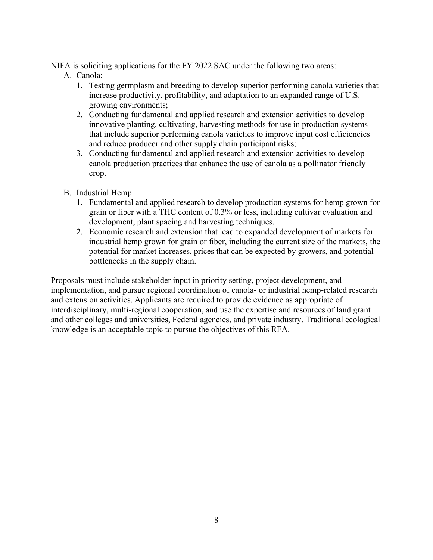NIFA is soliciting applications for the FY 2022 SAC under the following two areas:

- A. Canola:
	- 1. Testing germplasm and breeding to develop superior performing canola varieties that increase productivity, profitability, and adaptation to an expanded range of U.S. growing environments;
	- 2. Conducting fundamental and applied research and extension activities to develop innovative planting, cultivating, harvesting methods for use in production systems that include superior performing canola varieties to improve input cost efficiencies and reduce producer and other supply chain participant risks;
	- 3. Conducting fundamental and applied research and extension activities to develop canola production practices that enhance the use of canola as a pollinator friendly crop.
- B. Industrial Hemp:
	- 1. Fundamental and applied research to develop production systems for hemp grown for grain or fiber with a THC content of 0.3% or less, including cultivar evaluation and development, plant spacing and harvesting techniques.
	- 2. Economic research and extension that lead to expanded development of markets for industrial hemp grown for grain or fiber, including the current size of the markets, the potential for market increases, prices that can be expected by growers, and potential bottlenecks in the supply chain.

Proposals must include stakeholder input in priority setting, project development, and implementation, and pursue regional coordination of canola- or industrial hemp-related research and extension activities. Applicants are required to provide evidence as appropriate of interdisciplinary, multi-regional cooperation, and use the expertise and resources of land grant and other colleges and universities, Federal agencies, and private industry. Traditional ecological knowledge is an acceptable topic to pursue the objectives of this RFA.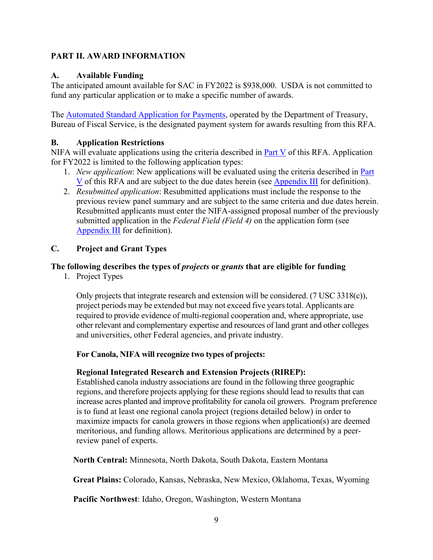# <span id="page-8-0"></span>**PART II. AWARD INFORMATION**

## <span id="page-8-1"></span>**A. Available Funding**

The anticipated amount available for SAC in FY2022 is \$938,000. USDA is not committed to fund any particular application or to make a specific number of awards.

The [Automated Standard Application for Payments,](https://www.fiscal.treasury.gov/fsservices/gov/pmt/asap/asap_home.htm) operated by the Department of Treasury, Bureau of Fiscal Service, is the designated payment system for awards resulting from this RFA.

# <span id="page-8-2"></span>**B. Application Restrictions**

NIFA will evaluate applications using the criteria described in [Part V](#page-17-0) of this RFA. Application for FY2022 is limited to the following application types:

- 1. *New application*: New applications will be evaluated using the criteria described in [Part](#page-17-0)  [V](#page-17-0) of this RFA and are subject to the due dates herein (see [Appendix III](#page-23-0) for definition).
- 2. *Resubmitted application*: Resubmitted applications must include the response to the previous review panel summary and are subject to the same criteria and due dates herein. Resubmitted applicants must enter the NIFA-assigned proposal number of the previously submitted application in the *Federal Field (Field 4)* on the application form (see [Appendix III](#page-23-0) for definition).

# <span id="page-8-3"></span>**C. Project and Grant Types**

# **The following describes the types of** *projects* **or** *grants* **that are eligible for funding**

1. Project Types

Only projects that integrate research and extension will be considered. (7 USC 3318(c)), project periods may be extended but may not exceed five yearstotal. Applicants are required to provide evidence of multi-regional cooperation and, where appropriate, use other relevant and complementary expertise and resources of land grant and other colleges and universities, other Federal agencies, and private industry.

## **For Canola, NIFA will recognize two types of projects:**

## **Regional Integrated Research and Extension Projects (RIREP):**

Established canola industry associations are found in the following three geographic regions, and therefore projects applying for these regions should lead to results that can increase acres planted and improve profitability for canola oil growers. Program preference is to fund at least one regional canola project (regions detailed below) in order to maximize impacts for canola growers in those regions when application(s) are deemed meritorious, and funding allows. Meritorious applications are determined by a peerreview panel of experts.

**North Central:** Minnesota, North Dakota, South Dakota, Eastern Montana

**Great Plains:** Colorado, Kansas, Nebraska, New Mexico, Oklahoma, Texas, Wyoming

**Pacific Northwest**: Idaho, Oregon, Washington, Western Montana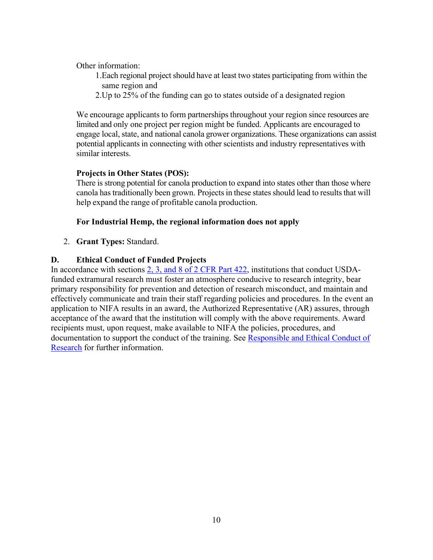Other information:

- 1. Each regional project should have at least two states participating from within the same region and
- 2.Up to 25% of the funding can go to states outside of a designated region

We encourage applicants to form partnerships throughout your region since resources are limited and only one project per region might be funded. Applicants are encouraged to engage local, state, and national canola grower organizations. These organizations can assist potential applicants in connecting with other scientists and industry representatives with similar interests.

## **Projects in Other States (POS):**

There is strong potential for canola production to expand into states other than those where canola has traditionally been grown. Projects in these states should lead to results that will help expand the range of profitable canola production.

#### **For Industrial Hemp, the regional information does not apply**

2. **Grant Types:** Standard.

#### <span id="page-9-0"></span>**D. Ethical Conduct of Funded Projects**

In accordance with sections [2, 3, and 8 of 2 CFR Part 422,](https://www.ecfr.gov/cgi-bin/text-idx?SID=3f96ab05cf1fc2d2713e5e46755e7696&mc=true&node=pt2.1.422&rgn=div5#se2.1.422_12) institutions that conduct USDAfunded extramural research must foster an atmosphere conducive to research integrity, bear primary responsibility for prevention and detection of research misconduct, and maintain and effectively communicate and train their staff regarding policies and procedures. In the event an application to NIFA results in an award, the Authorized Representative (AR) assures, through acceptance of the award that the institution will comply with the above requirements. Award recipients must, upon request, make available to NIFA the policies, procedures, and documentation to support the conduct of the training. See Responsible and Ethical Conduct of [Research](https://nifa.usda.gov/responsible-and-ethical-conduct-research) for further information.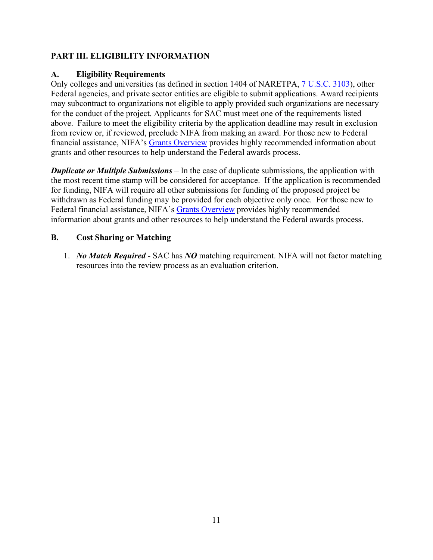# <span id="page-10-0"></span>**PART III. ELIGIBILITY INFORMATION**

## <span id="page-10-1"></span>**A. Eligibility Requirements**

Only colleges and universities (as defined in section 1404 of NARETPA, [7 U.S.C. 3103\)](https://uscode.house.gov/view.xhtml?req=(title:7%20section:3103%20edition:prelim)%20OR%20(granuleid:USC-prelim-title7-section3103)&f=treesort&edition=prelim&num=0&jumpTo=true), other Federal agencies, and private sector entities are eligible to submit applications. Award recipients may subcontract to organizations not eligible to apply provided such organizations are necessary for the conduct of the project. Applicants for SAC must meet one of the requirements listed above. Failure to meet the eligibility criteria by the application deadline may result in exclusion from review or, if reviewed, preclude NIFA from making an award. For those new to Federal financial assistance, NIFA's [Grants Overview](https://nifa.usda.gov/resource/grants-overview) provides highly recommended information about grants and other resources to help understand the Federal awards process.

*Duplicate or Multiple Submissions* – In the case of duplicate submissions, the application with the most recent time stamp will be considered for acceptance. If the application is recommended for funding, NIFA will require all other submissions for funding of the proposed project be withdrawn as Federal funding may be provided for each objective only once. For those new to Federal financial assistance, NIFA's [Grants Overview](https://gcc02.safelinks.protection.outlook.com/?url=https%3A%2F%2Fnifa.usda.gov%2Fresource%2Fgrants-overview&data=04%7C01%7C%7Cc50998433f184953952008da126f5943%7Ced5b36e701ee4ebc867ee03cfa0d4697%7C0%7C0%7C637842566685720346%7CUnknown%7CTWFpbGZsb3d8eyJWIjoiMC4wLjAwMDAiLCJQIjoiV2luMzIiLCJBTiI6Ik1haWwiLCJXVCI6Mn0%3D%7C3000&sdata=77pQai1JnLj57TmoeM7rQjUD%2BQdOtmSLEzTzcztTf50%3D&reserved=0) provides highly recommended information about grants and other resources to help understand the Federal awards process.

# <span id="page-10-2"></span>**B. Cost Sharing or Matching**

1. *No Match Required* - SAC has *NO* matching requirement. NIFA will not factor matching resources into the review process as an evaluation criterion.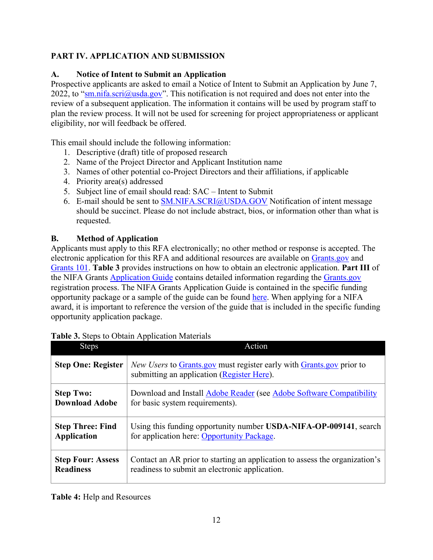# <span id="page-11-0"></span>**PART IV. APPLICATION AND SUBMISSION**

# <span id="page-11-1"></span>**A. Notice of Intent to Submit an Application**

Prospective applicants are asked to email a Notice of Intent to Submit an Application by June 7, 2022, to "sm.nifa.scri@usda.gov". This notification is not required and does not enter into the review of a subsequent application. The information it contains will be used by program staff to plan the review process. It will not be used for screening for project appropriateness or applicant eligibility, nor will feedback be offered.

This email should include the following information:

- 1. Descriptive (draft) title of proposed research
- 2. Name of the Project Director and Applicant Institution name
- 3. Names of other potential co-Project Directors and their affiliations, if applicable
- 4. Priority area(s) addressed
- 5. Subject line of email should read: SAC Intent to Submit
- 6. E-mail should be sent to [SM.NIFA.SCRI@USDA.GOV](mailto:SM.NIFA.SCRI@USDA.GOV) Notification of intent message should be succinct. Please do not include abstract, bios, or information other than what is requested.

# <span id="page-11-2"></span>**B. Method of Application**

Applicants must apply to this RFA electronically; no other method or response is accepted. The electronic application for this RFA and additional resources are available on [Grants.gov](https://www.grants.gov/) and [Grants 101.](https://www.grants.gov/web/grants/learn-grants/grants-101/pre-award-phase.html/) **Table 3** provides instructions on how to obtain an electronic application. **Part III** of the NIFA Grants [Application Guide](https://nifa.usda.gov/resource/nifa-grantsgov-application-guide) contains detailed information regarding the [Grants.gov](https://www.grants.gov/) registration process. The NIFA Grants Application Guide is contained in the specific funding opportunity package or a sample of the guide can be found [here.](https://nifa.usda.gov/resource/nifa-grantsgov-application-guide) When applying for a NIFA award, it is important to reference the version of the guide that is included in the specific funding opportunity application package.

| <b>Steps</b>              | Action                                                                                                             |
|---------------------------|--------------------------------------------------------------------------------------------------------------------|
| <b>Step One: Register</b> | New Users to Grants.gov must register early with Grants.gov prior to<br>submitting an application (Register Here). |
| <b>Step Two:</b>          | Download and Install Adobe Reader (see Adobe Software Compatibility                                                |
| <b>Download Adobe</b>     | for basic system requirements).                                                                                    |
| <b>Step Three: Find</b>   | Using this funding opportunity number USDA-NIFA-OP-009141, search                                                  |
| <b>Application</b>        | for application here: Opportunity Package.                                                                         |
| <b>Step Four: Assess</b>  | Contact an AR prior to starting an application to assess the organization's                                        |
| <b>Readiness</b>          | readiness to submit an electronic application.                                                                     |

| Table 3. Steps to Obtain Application Materials |
|------------------------------------------------|
|------------------------------------------------|

## <span id="page-11-3"></span>**Table 4:** Help and Resources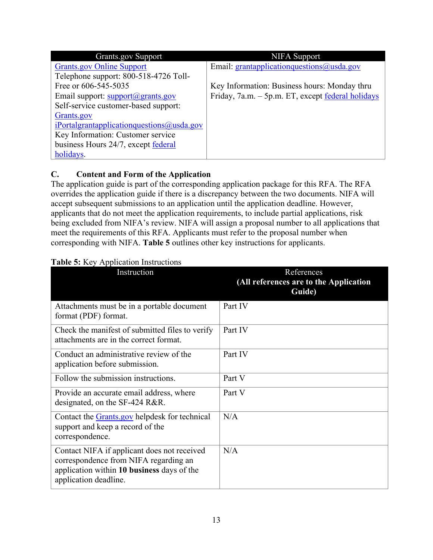| <b>Grants.gov Support</b>                               | <b>NIFA</b> Support                                      |
|---------------------------------------------------------|----------------------------------------------------------|
| <b>Grants.gov Online Support</b>                        | Email: grantapplication questions $@$ usda.gov           |
| Telephone support: 800-518-4726 Toll-                   |                                                          |
| Free or 606-545-5035                                    | Key Information: Business hours: Monday thru             |
| Email support: $\frac{\text{support}(a)}{\text{grams}}$ | Friday, 7a.m. – 5p.m. ET, except <u>federal holidays</u> |
| Self-service customer-based support:                    |                                                          |
| Grants.gov                                              |                                                          |
| $i$ Portalgrantapplication questions $\omega$ usda.gov  |                                                          |
| Key Information: Customer service                       |                                                          |
| business Hours 24/7, except federal                     |                                                          |
| holidays.                                               |                                                          |

# <span id="page-12-0"></span>**C. Content and Form of the Application**

The application guide is part of the corresponding application package for this RFA. The RFA overrides the application guide if there is a discrepancy between the two documents. NIFA will accept subsequent submissions to an application until the application deadline. However, applicants that do not meet the application requirements, to include partial applications, risk being excluded from NIFA's review. NIFA will assign a proposal number to all applications that meet the requirements of this RFA. Applicants must refer to the proposal number when corresponding with NIFA. **Table 5** outlines other key instructions for applicants.

## <span id="page-12-1"></span>**Table 5:** Key Application Instructions

| Instruction                                                                                                                                                 | References<br>(All references are to the Application<br>Guide) |
|-------------------------------------------------------------------------------------------------------------------------------------------------------------|----------------------------------------------------------------|
| Attachments must be in a portable document<br>format (PDF) format.                                                                                          | Part IV                                                        |
| Check the manifest of submitted files to verify<br>attachments are in the correct format.                                                                   | Part IV                                                        |
| Conduct an administrative review of the<br>application before submission.                                                                                   | Part IV                                                        |
| Follow the submission instructions.                                                                                                                         | Part V                                                         |
| Provide an accurate email address, where<br>designated, on the SF-424 R&R.                                                                                  | Part V                                                         |
| Contact the Grants.gov helpdesk for technical<br>support and keep a record of the<br>correspondence.                                                        | N/A                                                            |
| Contact NIFA if applicant does not received<br>correspondence from NIFA regarding an<br>application within 10 business days of the<br>application deadline. | N/A                                                            |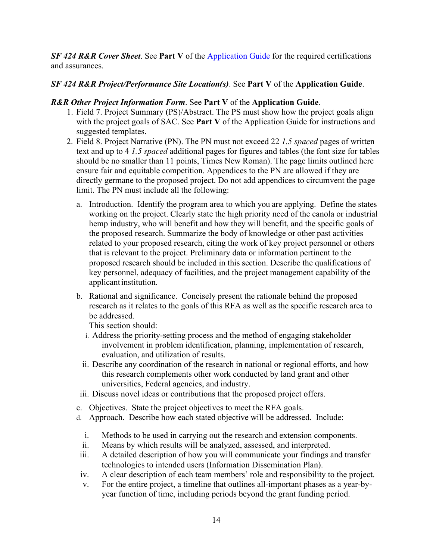**SF 424 R&R Cover Sheet.** See **Part V** of the **Application Guide** for the required certifications and assurances.

# *SF 424 R&R Project/Performance Site Location(s)*. See **Part V** of the **Application Guide**.

## *R&R Other Project Information Form*. See **Part V** of the **Application Guide**.

- 1. Field 7. Project Summary (PS)/Abstract. The PS must show how the project goals align with the project goals of SAC. See **Part V** of the Application Guide for instructions and suggested templates.
- 2. Field 8. Project Narrative (PN). The PN must not exceed 22 *1.5 spaced* pages of written text and up to 4 *1.5 spaced* additional pages for figures and tables (the font size for tables should be no smaller than 11 points, Times New Roman). The page limits outlined here ensure fair and equitable competition. Appendices to the PN are allowed if they are directly germane to the proposed project. Do not add appendices to circumvent the page limit. The PN must include all the following:
	- a. Introduction. Identify the program area to which you are applying. Define the states working on the project. Clearly state the high priority need of the canola or industrial hemp industry, who will benefit and how they will benefit, and the specific goals of the proposed research. Summarize the body of knowledge or other past activities related to your proposed research, citing the work of key project personnel or others that is relevant to the project. Preliminary data or information pertinent to the proposed research should be included in this section. Describe the qualifications of key personnel, adequacy of facilities, and the project management capability of the applicant institution.
	- b. Rational and significance. Concisely present the rationale behind the proposed research as it relates to the goals of this RFA as well as the specific research area to be addressed.

This section should:

- i. Address the priority-setting process and the method of engaging stakeholder involvement in problem identification, planning, implementation of research, evaluation, and utilization of results.
- ii. Describe any coordination of the research in national or regional efforts, and how this research complements other work conducted by land grant and other universities, Federal agencies, and industry.
- iii. Discuss novel ideas or contributions that the proposed project offers.
- c. Objectives. State the project objectives to meet the RFA goals.
- d. Approach. Describe how each stated objective will be addressed. Include:
	- i. Methods to be used in carrying out the research and extension components.
- ii. Means by which results will be analyzed, assessed, and interpreted.
- iii. A detailed description of how you will communicate your findings and transfer technologies to intended users (Information Dissemination Plan).
- iv. A clear description of each team members' role and responsibility to the project.
- v. For the entire project, a timeline that outlines all-important phases as a year-byyear function of time, including periods beyond the grant funding period.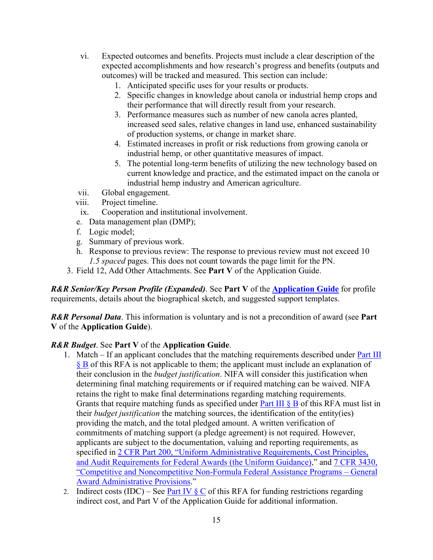- vi. Expected outcomes and benefits. Projects must include a clear description of the expected accomplishments and how research's progress and benefits (outputs and outcomes) will be tracked and measured. This section can include:
	- 1. Anticipated specific uses for your results or products.
	- 2. Specific changes in knowledge about canola or industrial hemp crops and their performance that will directly result from your research.
	- 3. Performance measures such as number of new canola acres planted, increased seed sales, relative changes in land use, enhanced sustainability of production systems, or change in market share.
	- 4. Estimated increases in profit or risk reductions from growing canola or industrial hemp, or other quantitative measures of impact.
	- 5. The potential long-term benefits of utilizing the new technology based on current knowledge and practice, and the estimated impact on the canola or industrial hemp industry and American agriculture.
- vii. Global engagement.
- viii. Project timeline.
	- ix. Cooperation and institutional involvement.
- e. Data management plan (DMP);
- f. Logic model;
- g. Summary of previous work.
- h. Response to previous review: The response to previous review must not exceed 10 *1.5 spaced* pages. This does not count towards the page limit for the PN.
- 3. Field 12, Add Other Attachments. See **Part V** of the Application Guide.

*R&R Senior/Key Person Profile (Expanded)*. See **Part V** of the **[Application Guide](https://nifa.usda.gov/resource/nifa-grantsgov-application-guide)** for profile requirements, details about the biographical sketch, and suggested support templates.

*R&R Personal Data*. This information is voluntary and is not a precondition of award (see **Part V** of the **Application Guide**).

## *R&R Budget*. See **Part V** of the **Application Guide**.

- 1. Match If an applicant concludes that the matching requirements described under [Part III](#page-10-2)  [§ B](#page-10-2) of this RFA is not applicable to them; the applicant must include an explanation of their conclusion in the *budget justification*. NIFA will consider this justification when determining final matching requirements or if required matching can be waived. NIFA retains the right to make final determinations regarding matching requirements. Grants that require matching funds as specified under **Part III**  $\S$  **B** of this RFA must list in their *budget justification* the matching sources, the identification of the entity(ies) providing the match, and the total pledged amount. A written verification of commitments of matching support (a pledge agreement) is not required. However, applicants are subject to the documentation, valuing and reporting requirements, as specified in [2 CFR Part 200, "Uniform Administrative Requirements, Cost Principles,](https://www.ecfr.gov/cgi-bin/text-idx?SID=39448527cdd5ebd0a063b91b8b44f0f5&mc=true&node=pt2.1.200&rgn=div5)  [and Audit Requirements for Federal Awards \(the Uniform Guidance\),](https://www.ecfr.gov/cgi-bin/text-idx?SID=39448527cdd5ebd0a063b91b8b44f0f5&mc=true&node=pt2.1.200&rgn=div5)" and [7 CFR 3430,](https://www.ecfr.gov/cgi-bin/text-idx?SID=1a74011311d649ff6313ca273791b131&mc=true&node=pt7.15.3430&rgn=div5)  ["Competitive and Noncompetitive Non-Formula Federal Assistance Programs – General](https://www.ecfr.gov/cgi-bin/text-idx?SID=1a74011311d649ff6313ca273791b131&mc=true&node=pt7.15.3430&rgn=div5)  [Award Administrative Provisions.](https://www.ecfr.gov/cgi-bin/text-idx?SID=1a74011311d649ff6313ca273791b131&mc=true&node=pt7.15.3430&rgn=div5)"
- 2. Indirect costs (IDC) See Part IV  $\S$  C of this RFA for funding restrictions regarding indirect cost, and Part V of the Application Guide for additional information.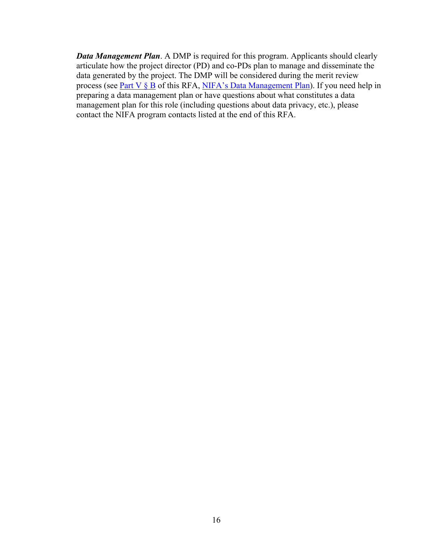*Data Management Plan*. A DMP is required for this program. Applicants should clearly articulate how the project director (PD) and co-PDs plan to manage and disseminate the data generated by the project. The DMP will be considered during the merit review process (see [Part V § B](#page-17-2) of this RFA, [NIFA's Data Management Plan\)](https://nifa.usda.gov/resource/data-management-plan-nifa-funded-research-projects). If you need help in preparing a data management plan or have questions about what constitutes a data management plan for this role (including questions about data privacy, etc.), please contact the NIFA program contacts listed at the end of this RFA.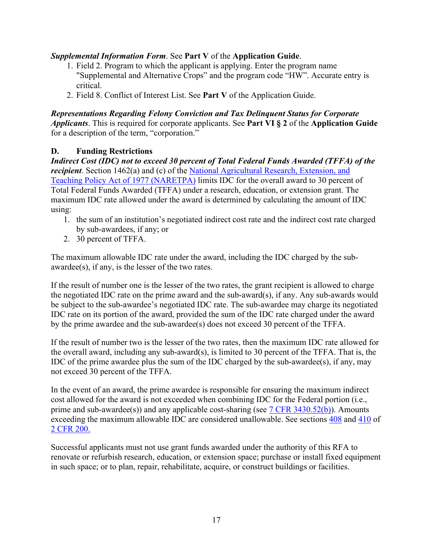# *Supplemental Information Form*. See **Part V** of the **Application Guide**.

- 1. Field 2. Program to which the applicant is applying. Enter the program name "Supplemental and Alternative Crops" and the program code "HW". Accurate entry is critical.
- 2. Field 8. Conflict of Interest List. See **Part V** of the Application Guide.

*Representations Regarding Felony Conviction and Tax Delinquent Status for Corporate Applicants*. This is required for corporate applicants. See **Part VI § 2** of the **Application Guide** for a description of the term, "corporation."

# <span id="page-16-0"></span>**D. Funding Restrictions**

*Indirect Cost (IDC) not to exceed 30 percent of Total Federal Funds Awarded (TFFA) of the recipient*. Section 1462(a) and (c) of the National Agricultural Research, Extension, and [Teaching Policy Act of 1977 \(NARETPA\)](https://nifa.usda.gov/sites/default/files/resource/nar77.pdf) limits IDC for the overall award to 30 percent of Total Federal Funds Awarded (TFFA) under a research, education, or extension grant. The maximum IDC rate allowed under the award is determined by calculating the amount of IDC using:

- 1. the sum of an institution's negotiated indirect cost rate and the indirect cost rate charged by sub-awardees, if any; or
- 2. 30 percent of TFFA.

The maximum allowable IDC rate under the award, including the IDC charged by the subawardee(s), if any, is the lesser of the two rates.

If the result of number one is the lesser of the two rates, the grant recipient is allowed to charge the negotiated IDC rate on the prime award and the sub-award(s), if any. Any sub-awards would be subject to the sub-awardee's negotiated IDC rate. The sub-awardee may charge its negotiated IDC rate on its portion of the award, provided the sum of the IDC rate charged under the award by the prime awardee and the sub-awardee(s) does not exceed 30 percent of the TFFA.

If the result of number two is the lesser of the two rates, then the maximum IDC rate allowed for the overall award, including any sub-award(s), is limited to 30 percent of the TFFA. That is, the IDC of the prime awardee plus the sum of the IDC charged by the sub-awardee(s), if any, may not exceed 30 percent of the TFFA.

In the event of an award, the prime awardee is responsible for ensuring the maximum indirect cost allowed for the award is not exceeded when combining IDC for the Federal portion (i.e., prime and sub-awardee(s)) and any applicable cost-sharing (see [7 CFR 3430.52\(b\)\)](https://www.ecfr.gov/cgi-bin/text-idx?SID=a9b07f3b96328c9f57365947eaab4a9f&mc=true&node=pt7.15.3430&rgn=div5#se7.15.3430_152). Amounts exceeding the maximum allowable IDC are considered unallowable. See sections [408](https://www.ecfr.gov/cgi-bin/text-idx?SID=99b0d2f1cf782a71783f992ece47bb5a&mc=true&node=pt2.1.200&rgn=div5#se2.1.200_1408) and [410](https://www.ecfr.gov/cgi-bin/text-idx?SID=99b0d2f1cf782a71783f992ece47bb5a&mc=true&node=pt2.1.200&rgn=div5#se2.1.200_1410) of [2 CFR 200.](https://www.ecfr.gov/cgi-bin/text-idx?SID=99b0d2f1cf782a71783f992ece47bb5a&mc=true&node=pt2.1.200&rgn=div5) 

Successful applicants must not use grant funds awarded under the authority of this RFA to renovate or refurbish research, education, or extension space; purchase or install fixed equipment in such space; or to plan, repair, rehabilitate, acquire, or construct buildings or facilities.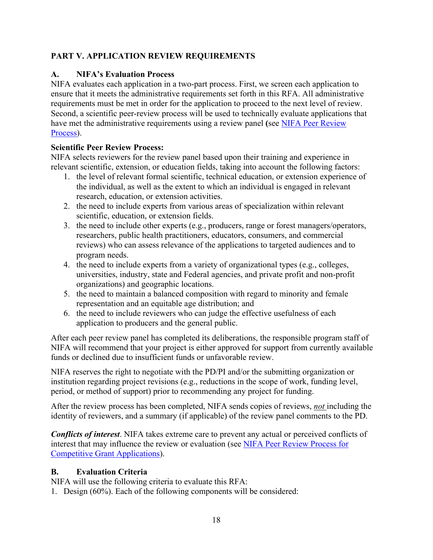# <span id="page-17-0"></span>**PART V. APPLICATION REVIEW REQUIREMENTS**

# <span id="page-17-1"></span>**A. NIFA's Evaluation Process**

NIFA evaluates each application in a two-part process. First, we screen each application to ensure that it meets the administrative requirements set forth in this RFA. All administrative requirements must be met in order for the application to proceed to the next level of review. Second, a scientific peer-review process will be used to technically evaluate applications that have met the administrative requirements using a review panel **(**see [NIFA Peer Review](https://nifa.usda.gov/sites/default/files/resource/NIFA-Peer-Review-Process-for-Competitive-Grant-Applications_0.pdf)  [Process\)](https://nifa.usda.gov/sites/default/files/resource/NIFA-Peer-Review-Process-for-Competitive-Grant-Applications_0.pdf).

# **Scientific Peer Review Process:**

NIFA selects reviewers for the review panel based upon their training and experience in relevant scientific, extension, or education fields, taking into account the following factors:

- 1. the level of relevant formal scientific, technical education, or extension experience of the individual, as well as the extent to which an individual is engaged in relevant research, education, or extension activities.
- 2. the need to include experts from various areas of specialization within relevant scientific, education, or extension fields.
- 3. the need to include other experts (e.g., producers, range or forest managers/operators, researchers, public health practitioners, educators, consumers, and commercial reviews) who can assess relevance of the applications to targeted audiences and to program needs.
- 4. the need to include experts from a variety of organizational types (e.g., colleges, universities, industry, state and Federal agencies, and private profit and non-profit organizations) and geographic locations.
- 5. the need to maintain a balanced composition with regard to minority and female representation and an equitable age distribution; and
- 6. the need to include reviewers who can judge the effective usefulness of each application to producers and the general public.

After each peer review panel has completed its deliberations, the responsible program staff of NIFA will recommend that your project is either approved for support from currently available funds or declined due to insufficient funds or unfavorable review.

NIFA reserves the right to negotiate with the PD/PI and/or the submitting organization or institution regarding project revisions (e.g., reductions in the scope of work, funding level, period, or method of support) prior to recommending any project for funding.

After the review process has been completed, NIFA sends copies of reviews, *not* including the identity of reviewers, and a summary (if applicable) of the review panel comments to the PD.

*Conflicts of interest*. NIFA takes extreme care to prevent any actual or perceived conflicts of interest that may influence the review or evaluation (see [NIFA Peer Review Process for](https://nifa.usda.gov/resource/nifa-peer-review-process-competitive-grant-applications)  [Competitive Grant Applications\)](https://nifa.usda.gov/resource/nifa-peer-review-process-competitive-grant-applications).

# <span id="page-17-2"></span>**B. Evaluation Criteria**

NIFA will use the following criteria to evaluate this RFA:

1. Design (60%). Each of the following components will be considered: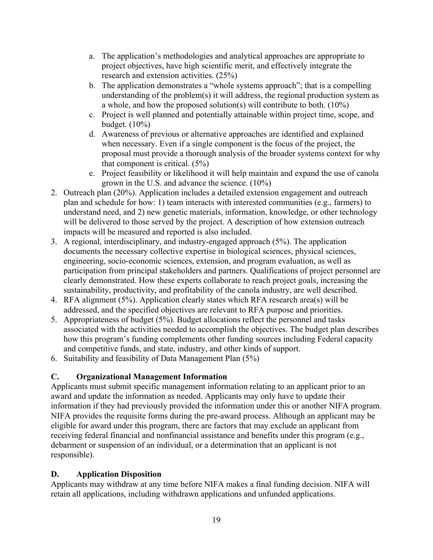- a. The application's methodologies and analytical approaches are appropriate to project objectives, have high scientific merit, and effectively integrate the research and extension activities. (25%)
- b. The application demonstrates a "whole systems approach"; that is a compelling understanding of the problem(s) it will address, the regional production system as a whole, and how the proposed solution(s) will contribute to both. (10%)
- c. Project is well planned and potentially attainable within project time, scope, and budget. (10%)
- d. Awareness of previous or alternative approaches are identified and explained when necessary. Even if a single component is the focus of the project, the proposal must provide a thorough analysis of the broader systems context for why that component is critical. (5%)
- e. Project feasibility or likelihood it will help maintain and expand the use of canola grown in the U.S. and advance the science. (10%)
- 2. Outreach plan (20%). Application includes a detailed extension engagement and outreach plan and schedule for how: 1) team interacts with interested communities (e.g., farmers) to understand need, and 2) new genetic materials, information, knowledge, or other technology will be delivered to those served by the project. A description of how extension outreach impacts will be measured and reported is also included.
- 3. A regional, interdisciplinary, and industry-engaged approach (5%). The application documents the necessary collective expertise in biological sciences, physical sciences, engineering, socio-economic sciences, extension, and program evaluation, as well as participation from principal stakeholders and partners. Qualifications of project personnel are clearly demonstrated. How these experts collaborate to reach project goals, increasing the sustainability, productivity, and profitability of the canola industry, are well described.
- 4. RFA alignment (5%). Application clearly states which RFA research area(s) will be addressed, and the specified objectives are relevant to RFA purpose and priorities.
- 5. Appropriateness of budget (5%). Budget allocations reflect the personnel and tasks associated with the activities needed to accomplish the objectives. The budget plan describes how this program's funding complements other funding sources including Federal capacity and competitive funds, and state, industry, and other kinds of support.
- 6. Suitability and feasibility of Data Management Plan (5%)

# <span id="page-18-0"></span>**C. Organizational Management Information**

Applicants must submit specific management information relating to an applicant prior to an award and update the information as needed. Applicants may only have to update their information if they had previously provided the information under this or another NIFA program. NIFA provides the requisite forms during the pre-award process. Although an applicant may be eligible for award under this program, there are factors that may exclude an applicant from receiving federal financial and nonfinancial assistance and benefits under this program (e.g., debarment or suspension of an individual, or a determination that an applicant is not responsible).

# <span id="page-18-1"></span>**D. Application Disposition**

Applicants may withdraw at any time before NIFA makes a final funding decision. NIFA will retain all applications, including withdrawn applications and unfunded applications.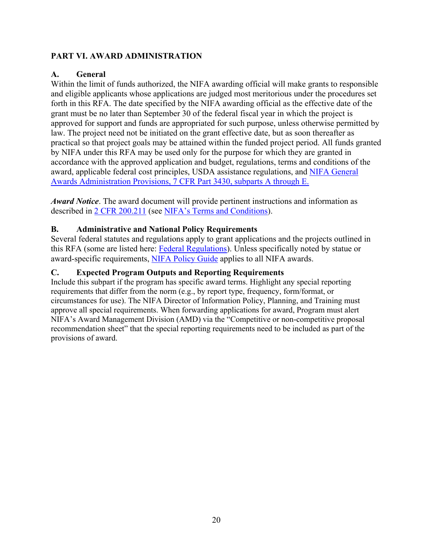# <span id="page-19-0"></span>**PART VI. AWARD ADMINISTRATION**

# <span id="page-19-1"></span>**A. General**

Within the limit of funds authorized, the NIFA awarding official will make grants to responsible and eligible applicants whose applications are judged most meritorious under the procedures set forth in this RFA. The date specified by the NIFA awarding official as the effective date of the grant must be no later than September 30 of the federal fiscal year in which the project is approved for support and funds are appropriated for such purpose, unless otherwise permitted by law. The project need not be initiated on the grant effective date, but as soon thereafter as practical so that project goals may be attained within the funded project period. All funds granted by NIFA under this RFA may be used only for the purpose for which they are granted in accordance with the approved application and budget, regulations, terms and conditions of the award, applicable federal cost principles, USDA assistance regulations, and [NIFA General](https://www.ecfr.gov/cgi-bin/text-idx?SID=1a74011311d649ff6313ca273791b131&mc=true&node=pt7.15.3430&rgn=div5)  [Awards Administration Provisions, 7 CFR Part 3430, subparts A through E.](https://www.ecfr.gov/cgi-bin/text-idx?SID=1a74011311d649ff6313ca273791b131&mc=true&node=pt7.15.3430&rgn=div5)

*Award Notice*. The award document will provide pertinent instructions and information as described in [2 CFR 200.211](https://www.ecfr.gov/cgi-bin/retrieveECFR?gp=&SID=c44a1f8f16917d78ba5ba676eac5fdc3&mc=true&r=SECTION&n=se2.1.200_1211) (see [NIFA's Terms and Conditions\)](https://nifa.usda.gov/terms-and-conditions).

## <span id="page-19-2"></span>**B. Administrative and National Policy Requirements**

Several federal statutes and regulations apply to grant applications and the projects outlined in this RFA (some are listed here: [Federal Regulations\)](https://nifa.usda.gov/federal-regulations). Unless specifically noted by statue or award-specific requirements, [NIFA Policy Guide](https://nifa.usda.gov/policy-guide) applies to all NIFA awards.

## <span id="page-19-3"></span>**C. Expected Program Outputs and Reporting Requirements**

Include this subpart if the program has specific award terms. Highlight any special reporting requirements that differ from the norm (e.g., by report type, frequency, form/format, or circumstances for use). The NIFA Director of Information Policy, Planning, and Training must approve all special requirements. When forwarding applications for award, Program must alert NIFA's Award Management Division (AMD) via the "Competitive or non-competitive proposal recommendation sheet" that the special reporting requirements need to be included as part of the provisions of award.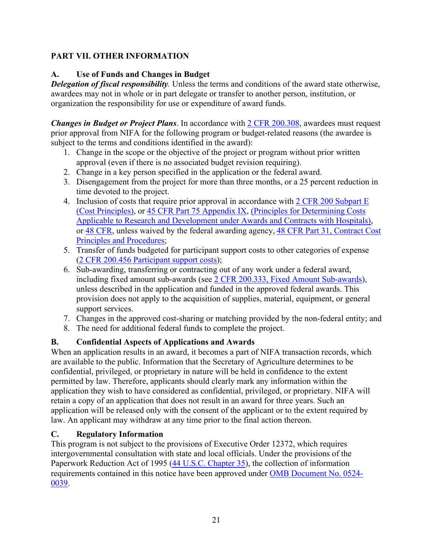# <span id="page-20-0"></span>**PART VII. OTHER INFORMATION**

# <span id="page-20-1"></span>**A. Use of Funds and Changes in Budget**

*Delegation of fiscal responsibility.* Unless the terms and conditions of the award state otherwise, awardees may not in whole or in part delegate or transfer to another person, institution, or organization the responsibility for use or expenditure of award funds.

*Changes in Budget or Project Plans*. In accordance with [2 CFR 200.308,](https://www.ecfr.gov/cgi-bin/text-idx?SID=3af89506559b05297e7d0334cb283e24&mc=true&node=se2.1.200_1308&rgn=div8) awardees must request prior approval from NIFA for the following program or budget-related reasons (the awardee is subject to the terms and conditions identified in the award):

- 1. Change in the scope or the objective of the project or program without prior written approval (even if there is no associated budget revision requiring).
- 2. Change in a key person specified in the application or the federal award.
- 3. Disengagement from the project for more than three months, or a 25 percent reduction in time devoted to the project.
- 4. Inclusion of costs that require prior approval in accordance with [2 CFR 200 Subpart E](https://www.ecfr.gov/cgi-bin/text-idx?SID=dc069d42776cd3451f66232d56026057&mc=true&node=pt2.1.200&rgn=div5#sp2.1.200.e)  [\(Cost Principles\),](https://www.ecfr.gov/cgi-bin/text-idx?SID=dc069d42776cd3451f66232d56026057&mc=true&node=pt2.1.200&rgn=div5#sp2.1.200.e) or [45 CFR Part 75 Appendix IX,](https://www.ecfr.gov/cgi-bin/text-idx?node=pt45.1.75#ap45.1.75_1521.ix) [\(Principles for Determining Costs](https://www.ecfr.gov/cgi-bin/text-idx?node=pt45.1.75#ap45.1.75_1521.ix)  [Applicable to Research and Development under Awards and Contracts with Hospitals\)](https://www.ecfr.gov/cgi-bin/text-idx?node=pt45.1.75#ap45.1.75_1521.ix), or [48 CFR,](https://www.ecfr.gov/cgi-bin/text-idx?SID=4d9d83a5cef52c19c5ff83421fa48a4b&mc=true&tpl=/ecfrbrowse/Title48/48tab_02.tpl) unless waived by the federal awarding agency, [48 CFR Part 31, Contract Cost](https://www.ecfr.gov/cgi-bin/text-idx?SID=4d9d83a5cef52c19c5ff83421fa48a4b&mc=true&node=pt48.1.31&rgn=div5)  [Principles and Procedures;](https://www.ecfr.gov/cgi-bin/text-idx?SID=4d9d83a5cef52c19c5ff83421fa48a4b&mc=true&node=pt48.1.31&rgn=div5)
- 5. Transfer of funds budgeted for participant support costs to other categories of expense [\(2 CFR 200.456 Participant support costs\)](https://www.ecfr.gov/cgi-bin/text-idx?SID=875f7422535a157681c65d5ff44deb32&mc=true&node=pt2.1.200&rgn=div5#se2.1.200_1456);
- 6. Sub-awarding, transferring or contracting out of any work under a federal award, including fixed amount sub-awards (see [2 CFR 200.333, Fixed Amount Sub-awards\)](https://www.ecfr.gov/cgi-bin/text-idx?SID=9eaf9554e1f32bf0d83aca55646e9b7e&mc=true&node=pt2.1.200&rgn=div5#se2.1.200_1333), unless described in the application and funded in the approved federal awards. This provision does not apply to the acquisition of supplies, material, equipment, or general support services.
- 7. Changes in the approved cost-sharing or matching provided by the non-federal entity; and
- 8. The need for additional federal funds to complete the project.

# <span id="page-20-2"></span>**B. Confidential Aspects of Applications and Awards**

When an application results in an award, it becomes a part of NIFA transaction records, which are available to the public. Information that the Secretary of Agriculture determines to be confidential, privileged, or proprietary in nature will be held in confidence to the extent permitted by law. Therefore, applicants should clearly mark any information within the application they wish to have considered as confidential, privileged, or proprietary. NIFA will retain a copy of an application that does not result in an award for three years. Such an application will be released only with the consent of the applicant or to the extent required by law. An applicant may withdraw at any time prior to the final action thereon.

## <span id="page-20-3"></span>**C. Regulatory Information**

This program is not subject to the provisions of [Executive Order 12372,](https://www.fws.gov/policy/library/rgeo12372.pdf) which requires intergovernmental consultation with state and local officials. Under the provisions of the [Paperwork Reduction Act of 1995](https://www.reginfo.gov/public/reginfo/pra.pdf) [\(44 U.S.C. Chapter 35\)](http://uscode.house.gov/view.xhtml?path=/prelim@title44/chapter35&edition=prelim), the collection of information requirements contained in this notice have been approved under [OMB Document No. 0524-](https://www.federalregister.gov/documents/2018/10/29/2018-23552/submission-for-omb-review-comment-request) [0039.](https://www.federalregister.gov/documents/2018/10/29/2018-23552/submission-for-omb-review-comment-request)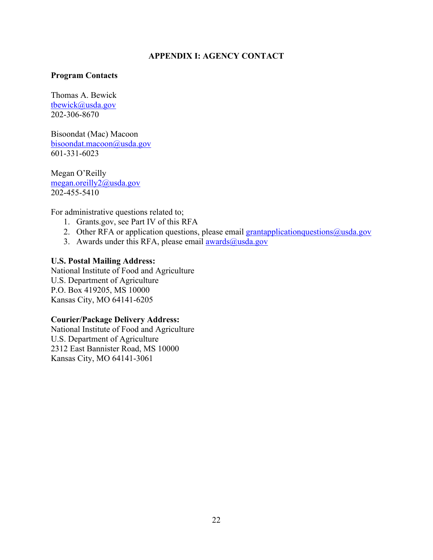#### **APPENDIX I: AGENCY CONTACT**

#### <span id="page-21-0"></span>**Program Contacts**

Thomas A. Bewick [tbewick@usda.gov](mailto:tbewick@usda.gov) 202-306-8670

Bisoondat (Mac) Macoon [bisoondat.macoon@usda.gov](mailto:bisoondat.macoon@usda.gov) 601-331-6023

Megan O'Reilly [megan.oreilly2@usda.gov](mailto:megan.oreilly2@usda.gov) 202-455-5410

For administrative questions related to;

- 1. Grants.gov, see Part IV of this RFA
- 2. Other RFA or application questions, please email grantapplication questions  $@$ usda.gov
- 3. Awards under this RFA, please email  $\frac{\text{awards}(a)\text{usda.gov}}{\text{awards}(a)}$

#### **U.S. Postal Mailing Address:**

National Institute of Food and Agriculture U.S. Department of Agriculture P.O. Box 419205, MS 10000 Kansas City, MO 64141-6205

#### **Courier/Package Delivery Address:**

National Institute of Food and Agriculture U.S. Department of Agriculture 2312 East Bannister Road, MS 10000 Kansas City, MO 64141-3061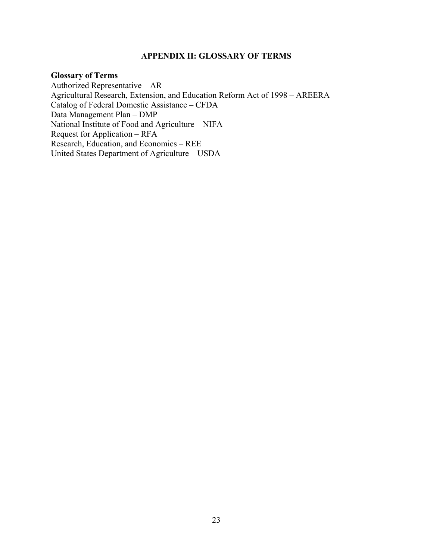#### **APPENDIX II: GLOSSARY OF TERMS**

#### <span id="page-22-0"></span>**Glossary of Terms**

Authorized Representative – AR Agricultural Research, Extension, and Education Reform Act of 1998 – AREERA Catalog of Federal Domestic Assistance – CFDA Data Management Plan – DMP National Institute of Food and Agriculture – NIFA Request for Application – RFA Research, Education, and Economics – REE United States Department of Agriculture – USDA